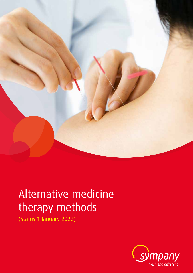

# Alternative medicine therapy methods

(Status 1 January 2022)

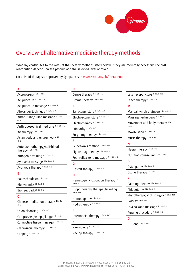

# Overview of alternative medicine therapy methods

Sympany contributes to the costs of the therapy methods listed below if they are medically necessary. The cost contribution depends on the product and the selected level of cover.

For a list of therapists approved by Sympany, see www.sympany.ch/therapeuten

A Acupressure 1 2a 3a 4a 5 Acupuncture 1 2a 3a 4a 5 Acupuncture massage 12a 3a 4a 5 Alexander technique 1 2a 3a 4a 5 Anmo-tuina/Tuina massage 12a 3a 4a 5 Anthroposophical medicine 1 2a 3a 4a 5 Art therapy 1 2a 3a 4a 5 Asian body and energy work 2b 3b 4b 5 Autohaemotherapy/Self-blood therapy 1 2a 3a 4a 5 Autogenic training 1 2a 3a 4a 5 Ayurveda massage 1 2a 3a 4a 5 Ayurveda therapy 1 2a 3a 4a 5 B Baunscheidtism 1 2a 3a 4a 5 Biodynamics 2b 3b 4b 5 Bio feedback 2b 3b 4b 5 C Chinese medication therapy 12a 3a 4a 5 Colon cleansing 1 2a 3a 4a 5 Compresses/wraps/fango 1 2a 3a 4a 5 Connective tissue massage 2b 3b 4b 5 Craniosacral therapy 1 2a 3a 4a 5 Cupping 1 2a 3a 4a 5

| D                                                      |
|--------------------------------------------------------|
| Dance therapy 12a 3a 4a 5                              |
| Drama therapy <sup>12a 3a 4a 5</sup>                   |
| F                                                      |
| Ear acupuncture 1 2a 3a 4a 5                           |
| Electroacupuncture 1 2a 3a 4a 5                        |
| Electrotherapy <sup>12a 3a 4a 5</sup>                  |
| Etiopathy 1 2a 3a 4a 5                                 |
| Eurythmy therapy 1 2a 3a 4a 5                          |
| F                                                      |
| Feldenkrais method 1 2a 3a 4a 5                        |
| Figure play therapy 1 2a 3a 4a 5                       |
| Foot reflex zone message 12a 3a 4a 5                   |
| G                                                      |
| Gestalt therapy 1 2a 3a 4a 5                           |
| н                                                      |
| Hematogenic oxidation therapy <sup>2b</sup><br>3b 4b 5 |
| Hippotherapy/Therapeutic riding<br>2b 3b 4b 5          |
| Homoeopathy 12a 3a 4a 5                                |
| Hydrotherapy 1 2a 3a 4a 5                              |
| ı                                                      |
| Intermedial therapy 1 2a 3a 4a 5                       |
| K                                                      |
|                                                        |

Kinesiology 1 2a 3a 4a 5

Kneipp therapy 1 2a 3a 4a 5

| L                                        |
|------------------------------------------|
| Laser acupuncture 1 2a 3a 4a 5           |
| Leech therapy <sup>12a 3a 4a 5</sup>     |
| M                                        |
| Manual lymph drainage 12a 3a 4a 5        |
| Massage techniques 1 2a 3a 4a 5          |
| Movement and body therapy 12a<br>3a 4a 5 |
| Moxibustion 1 2a 3a 4a 5                 |
| Music therapy 1 2a 3a 4a 5               |
| Ν                                        |
| Neural therapy <sup>2b 3b 4b 5</sup>     |
| Nutrition counselling 1 2a 3a 4a 5       |
| $\bf{0}$                                 |
| Osteopathy 1 2a 3a 4a 5                  |
| Ozone therapy 2b 3b 4b 5                 |
| P                                        |
| Painting therapy 1 2a 3a 4a 5            |
| Phlebotomy 1 2a 3a 4a 5                  |
| Phytotherapy, incl. spagyric 12a 3a 4a 5 |
| Polarity <sup>2b 3b 4b 5</sup>           |
| Psycho-zone massage 2b 3b 4b 5           |
| Purging procedure 1 2a 3a 4a 5           |
| Q                                        |
| Qi-Gong 1 2a 3a 4a 5                     |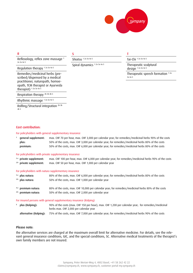

| Reflexology, reflex zone massage 1<br>2a 3a 4a 5                                                                                         | Shiatsu 1 2a 3a 4a 5                   | Tai-Chi $12a3a4a5$                          |
|------------------------------------------------------------------------------------------------------------------------------------------|----------------------------------------|---------------------------------------------|
|                                                                                                                                          | Spiral dynamics <sup>12a 3a 4a 5</sup> | Therapeutic sculptural                      |
| Regulation therapy $12a$ 3a 4a 5                                                                                                         |                                        | design 1 2a 3a 4a 5                         |
| Remedies/medicinal herbs (pre-<br>scribed/dispensed by a medical<br>practitioner, naturopath, homoe-<br>opath, TCM therapist or Ayurveda |                                        | Therapeutic speech formation 12a<br>3a 4a 5 |

Cost contribution:

4b 5

therapist) 1 2a 3a 4a 5

Respiration therapy 2b 3b 4b 5 Rhythmic massage 1 2a 3a 4a 5

Rolfing/Structural integration 2b 3b

For policyholders with general supplementary insurance

<sup>1</sup> general supplement: max. CHF 70 per hour, max. CHF 3,000 per calendar year; for remedies/medicinal herbs 90% of the costs plus: 50% of the costs, max. CHF 3,000 per calendar year; for remedies/medicinal herbs 80% of the costs premium: 50% of the costs, max. CHF 6,000 per calendar year; for remedies/medicinal herbs 80% of the costs

#### For policyholders with private supplementary insurance

<sup>2a</sup> private supplement: max. CHF 100 per hour, max. CHF 6,000 per calendar year; for remedies/medicinal herbs 90% of the costs <sup>2b</sup> private supplement: max. CHF 50 per hour, max. CHF 1,000 per calendar year

#### For policyholders with natura supplementary insurance

| <sup>3</sup> plus natura:<br><sup>3b</sup> plus natura:            | 80% of the costs, max. CHF 6,000 per calendar year; for remedies/medicinal herbs 80% of the costs<br>50% of the costs, max. CHF 1,000 per calendar year  |  |  |  |  |
|--------------------------------------------------------------------|----------------------------------------------------------------------------------------------------------------------------------------------------------|--|--|--|--|
| <sup>4</sup> a premium natura:<br><sup>4b</sup> premium natura:    | 80% of the costs, max. CHF 10,000 per calendar year; for remedies/medicinal herbs 80% of the costs<br>50% of the costs, max. CHF 2,000 per calendar year |  |  |  |  |
| For insured persons with general supplementary insurance (Kolping) |                                                                                                                                                          |  |  |  |  |

## <sup>5</sup> plus (Kolping): 90% of the costs (max. CHF 150 per hour), max. CHF 1,200 per calendar year; for remedies/medicinal herbs max. CHF 2,000 per calendar year alternative (Kolping): 75% of the costs, max. CHF 7,000 per calendar year; for remedies/medicinal herbs 90% of the costs

### Please note:

the alternative services are charged at the maximum overall limit for alternative medicine. For details, see the relevant general insurance conditions, GIC, and the special conditions, SC. Alternative medical treatments of the therapist's own family members are not insured.